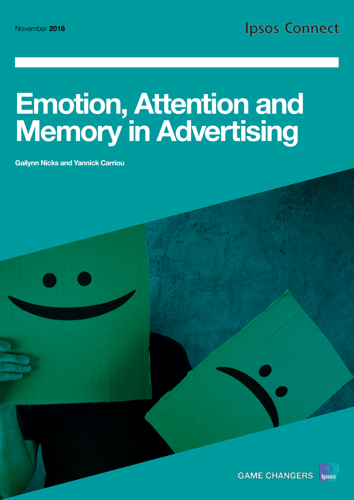# Emotion, Attention and Memory in Advertising

Gailynn Nicks and Yannick Carriou

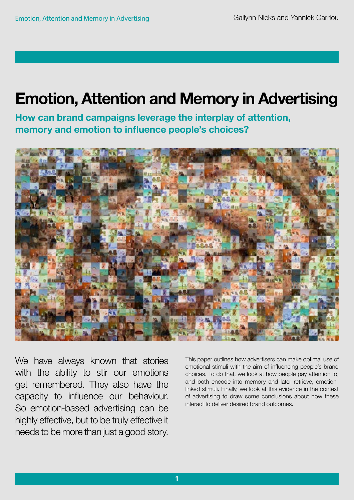# Emotion, Attention and Memory in Advertising

How can brand campaigns leverage the interplay of attention, memory and emotion to influence people's choices?



We have always known that stories with the ability to stir our emotions get remembered. They also have the capacity to influence our behaviour. So emotion-based advertising can be highly effective, but to be truly effective it needs to be more than just a good story.

This paper outlines how advertisers can make optimal use of emotional stimuli with the aim of influencing people's brand choices. To do that, we look at how people pay attention to, and both encode into memory and later retrieve, emotionlinked stimuli. Finally, we look at this evidence in the context of advertising to draw some conclusions about how these interact to deliver desired brand outcomes.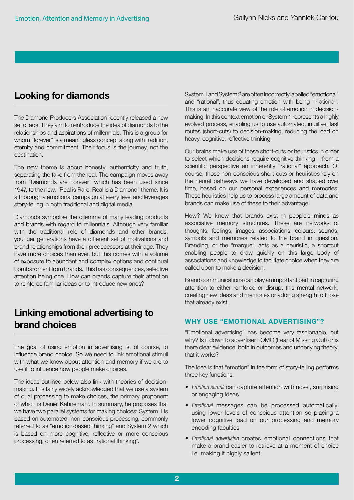## Looking for diamonds

The Diamond Producers Association recently released a new set of ads. They aim to reintroduce the idea of diamonds to the relationships and aspirations of millennials. This is a group for whom "forever" is a meaningless concept along with tradition, eternity and commitment. Their focus is the journey, not the destination.

The new theme is about honesty, authenticity and truth, separating the fake from the real. The campaign moves away from "Diamonds are Forever" which has been used since 1947, to the new, "Real is Rare. Real is a Diamond" theme. It is a thoroughly emotional campaign at every level and leverages story-telling in both traditional and digital media.

Diamonds symbolise the dilemma of many leading products and brands with regard to millennials. Although very familiar with the traditional role of diamonds and other brands, younger generations have a different set of motivations and brand relationships from their predecessors at their age. They have more choices than ever, but this comes with a volume of exposure to abundant and complex options and continual bombardment from brands. This has consequences, selective attention being one. How can brands capture their attention to reinforce familiar ideas or to introduce new ones?

# Linking emotional advertising to brand choices

The goal of using emotion in advertising is, of course, to influence brand choice. So we need to link emotional stimuli with what we know about attention and memory if we are to use it to influence how people make choices.

The ideas outlined below also link with theories of decisionmaking. It is fairly widely acknowledged that we use a system of dual processing to make choices, the primary proponent of which is Daniel Kahneman<sup>1</sup>. In summary, he proposes that we have two parallel systems for making choices: System 1 is based on automated, non-conscious processing, commonly referred to as "emotion-based thinking" and System 2 which is based on more cognitive, reflective or more conscious processing, often referred to as "rational thinking".

System 1 and System 2 are often incorrectly labelled "emotional" and "rational", thus equating emotion with being "irrational". This is an inaccurate view of the role of emotion in decisionmaking. In this context emotion or System 1 represents a highly evolved process, enabling us to use automated, intuitive, fast routes (short-cuts) to decision-making, reducing the load on heavy, cognitive, reflective thinking.

Our brains make use of these short-cuts or heuristics in order to select which decisions require cognitive thinking – from a scientific perspective an inherently "rational" approach. Of course, those non-conscious short-cuts or heuristics rely on the neural pathways we have developed and shaped over time, based on our personal experiences and memories. These heuristics help us to process large amount of data and brands can make use of these to their advantage.

How? We know that brands exist in people's minds as associative memory structures. These are networks of thoughts, feelings, images, associations, colours, sounds, symbols and memories related to the brand in question. Branding, or the "marque", acts as a heuristic, a shortcut enabling people to draw quickly on this large body of associations and knowledge to facilitate choice when they are called upon to make a decision.

Brand communications can play an important part in capturing attention to either reinforce or disrupt this mental network, creating new ideas and memories or adding strength to those that already exist.

#### WHY USE "EMOTIONAL ADVERTISING"?

"Emotional advertising" has become very fashionable, but why? Is it down to advertiser FOMO (Fear of Missing Out) or is there clear evidence, both in outcomes and underlying theory, that it works?

The idea is that "emotion" in the form of story-telling performs three key functions:

- *• Emotion stimuli* can capture attention with novel, surprising or engaging ideas
- *• Emotional* messages can be processed automatically, using lower levels of conscious attention so placing a lower cognitive load on our processing and memory encoding faculties
- *• Emotional advertising* creates emotional connections that make a brand easier to retrieve at a moment of choice i.e. making it highly salient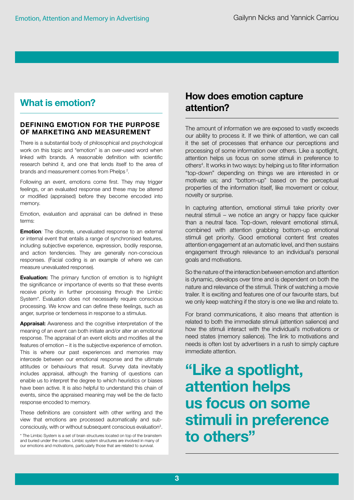## What is emotion?

#### DEFINING EMOTION FOR THE PURPOSE OF MARKETING AND MEASUREMENT

There is a substantial body of philosophical and psychological work on this topic and "emotion" is an over-used word when linked with brands. A reasonable definition with scientific research behind it, and one that lends itself to the area of brands and measurement comes from Phelps<sup>2</sup>.

Following an event, emotions come first. They may trigger feelings, or an evaluated response and these may be altered or modified (appraised) before they become encoded into memory.

Emotion, evaluation and appraisal can be defined in these terms:

**Emotion**: The discrete, unevaluated response to an external or internal event that entails a range of synchronised features, including subjective experience, expression, bodily response, and action tendencies. They are generally non-conscious responses. (Facial coding is an example of where we can measure unevaluated response).

**Evaluation:** The primary function of emotion is to highlight the significance or importance of events so that these events receive priority in further processing through the Limbic System\*. Evaluation does not necessarily require conscious processing. We know and can define these feelings, such as anger, surprise or tenderness in response to a stimulus.

Appraisal: Awareness and the cognitive interpretation of the meaning of an event can both initiate and/or alter an emotional response. The appraisal of an event elicits and modifies all the features of emotion – it is the subjective experience of emotion. This is where our past experiences and memories may intercede between our emotional response and the ultimate attitudes or behaviours that result. Survey data inevitably includes appraisal, although the framing of questions can enable us to interpret the degree to which heuristics or biases have been active. It is also helpful to understand this chain of events, since the appraised meaning may well be the de facto response encoded to memory.

These definitions are consistent with other writing and the view that emotions are processed automatically and subconsciously, with or without subsequent conscious evaluation<sup>3</sup>.

\* The Limbic System is a set of brain structures located on top of the brainstem and buried under the cortex. Limbic system structures are involved in many of our emotions and motivations, particularly those that are related to survival.

# How does emotion capture attention?

The amount of information we are exposed to vastly exceeds our ability to process it. If we think of attention, we can call it the set of processes that enhance our perceptions and processing of some information over others. Like a spotlight, attention helps us focus on some stimuli in preference to others<sup>4</sup>. It works in two ways: by helping us to filter information "top-down" depending on things we are interested in or motivate us; and "bottom-up" based on the perceptual properties of the information itself, like movement or colour, novelty or surprise.

In capturing attention, emotional stimuli take priority over neutral stimuli – we notice an angry or happy face quicker than a neutral face. Top-down, relevant emotional stimuli, combined with attention grabbing bottom-up emotional stimuli get priority. Good emotional content first creates attention engagement at an automatic level, and then sustains engagement through relevance to an individual's personal goals and motivations.

So the nature of the interaction between emotion and attention is dynamic, develops over time and is dependent on both the nature and relevance of the stimuli. Think of watching a movie trailer. It is exciting and features one of our favourite stars, but we only keep watching if the story is one we like and relate to.

For brand communications, it also means that attention is related to both the immediate stimuli (attention salience) and how the stimuli interact with the individual's motivations or need states (memory salience). The link to motivations and needs is often lost by advertisers in a rush to simply capture immediate attention.

# "Like a spotlight, attention helps us focus on some stimuli in preference to others"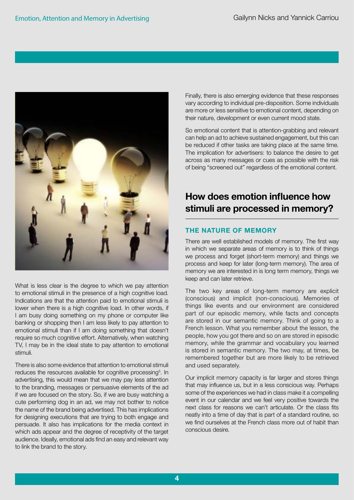

What is less clear is the degree to which we pay attention to emotional stimuli in the presence of a high cognitive load. Indications are that the attention paid to emotional stimuli is lower when there is a high cognitive load. In other words, if I am busy doing something on my phone or computer like banking or shopping then I am less likely to pay attention to emotional stimuli than if I am doing something that doesn't require so much cognitive effort. Alternatively, when watching TV, I may be in the ideal state to pay attention to emotional stimuli.

There is also some evidence that attention to emotional stimuli reduces the resources available for cognitive processing<sup>5</sup>. In advertising, this would mean that we may pay less attention to the branding, messages or persuasive elements of the ad if we are focused on the story. So, if we are busy watching a cute performing dog in an ad, we may not bother to notice the name of the brand being advertised. This has implications for designing executions that are trying to both engage and persuade. It also has implications for the media context in which ads appear and the degree of receptivity of the target audience. Ideally, emotional ads find an easy and relevant way to link the brand to the story.

Finally, there is also emerging evidence that these responses vary according to individual pre-disposition. Some individuals are more or less sensitive to emotional content, depending on their nature, development or even current mood state.

So emotional content that is attention-grabbing and relevant can help an ad to achieve sustained engagement, but this can be reduced if other tasks are taking place at the same time. The implication for advertisers: to balance the desire to get across as many messages or cues as possible with the risk of being "screened out" regardless of the emotional content.

# How does emotion influence how stimuli are processed in memory?

#### THE NATURE OF MEMORY

There are well established models of memory. The first way in which we separate areas of memory is to think of things we process and forget (short-term memory) and things we process and keep for later (long-term memory). The area of memory we are interested in is long term memory, things we keep and can later retrieve.

The two key areas of long-term memory are explicit (conscious) and implicit (non-conscious). Memories of things like events and our environment are considered part of our episodic memory, while facts and concepts are stored in our semantic memory. Think of going to a French lesson. What you remember about the lesson, the people, how you got there and so on are stored in episodic memory, while the grammar and vocabulary you learned is stored in semantic memory. The two may, at times, be remembered together but are more likely to be retrieved and used separately.

Our implicit memory capacity is far larger and stores things that may influence us, but in a less conscious way. Perhaps some of the experiences we had in class make it a compelling event in our calendar and we feel very positive towards the next class for reasons we can't articulate. Or the class fits neatly into a time of day that is part of a standard routine, so we find ourselves at the French class more out of habit than conscious desire.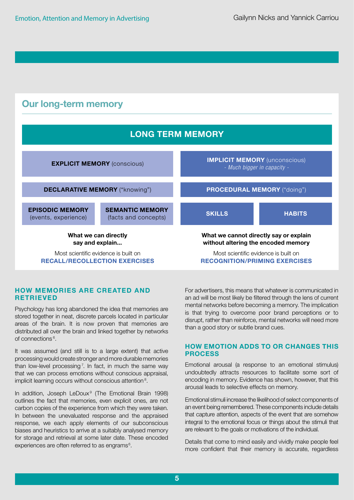

#### HOW MEMORIES ARE CREATED AND **RETRIEVED**

Psychology has long abandoned the idea that memories are stored together in neat, discrete parcels located in particular areas of the brain. It is now proven that memories are distributed all over the brain and linked together by networks of connections<sup>6</sup>.

It was assumed (and still is to a large extent) that active processing would create stronger and more durable memories than low-level processing<sup>7</sup>. In fact, in much the same way that we can process emotions without conscious appraisal, implicit learning occurs without conscious attention<sup>8</sup>.

In addition, Joseph LeDoux<sup>9</sup> (The Emotional Brain 1998) outlines the fact that memories, even explicit ones, are not carbon copies of the experience from which they were taken. In between the unevaluated response and the appraised response, we each apply elements of our subconscious biases and heuristics to arrive at a suitably analysed memory for storage and retrieval at some later date. These encoded experiences are often referred to as engrams<sup>6</sup>.

For advertisers, this means that whatever is communicated in an ad will be most likely be filtered through the lens of current mental networks before becoming a memory. The implication is that trying to overcome poor brand perceptions or to disrupt, rather than reinforce, mental networks will need more than a good story or subtle brand cues.

#### HOW EMOTION ADDS TO OR CHANGES THIS PROCESS

Emotional arousal (a response to an emotional stimulus) undoubtedly attracts resources to facilitate some sort of encoding in memory. Evidence has shown, however, that this arousal leads to selective effects on memory.

Emotional stimuli increase the likelihood of select components of an event being remembered. These components include details that capture attention, aspects of the event that are somehow integral to the emotional focus or things about the stimuli that are relevant to the goals or motivations of the individual.

Details that come to mind easily and vividly make people feel more confident that their memory is accurate, regardless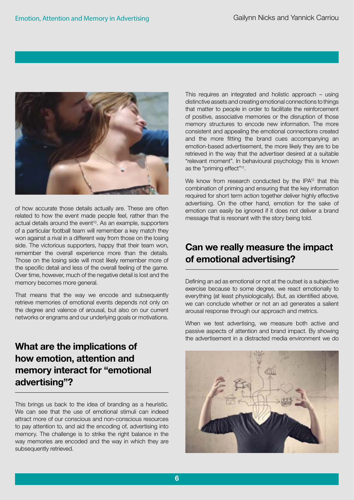

of how accurate those details actually are. These are often related to how the event made people feel, rather than the actual details around the event<sup>10</sup>. As an example, supporters of a particular football team will remember a key match they won against a rival in a different way from those on the losing side. The victorious supporters, happy that their team won, remember the overall experience more than the details. Those on the losing side will most likely remember more of the specific detail and less of the overall feeling of the game. Over time, however, much of the negative detail is lost and the memory becomes more general.

That means that the way we encode and subsequently retrieve memories of emotional events depends not only on the degree and valence of arousal, but also on our current networks or engrams and our underlying goals or motivations.

# What are the implications of how emotion, attention and memory interact for "emotional advertising"?

This brings us back to the idea of branding as a heuristic. We can see that the use of emotional stimuli can indeed attract more of our conscious and non-conscious resources to pay attention to, and aid the encoding of, advertising into memory. The challenge is to strike the right balance in the way memories are encoded and the way in which they are subsequently retrieved.

This requires an integrated and holistic approach – using distinctive assets and creating emotional connections to things that matter to people in order to facilitate the reinforcement of positive, associative memories or the disruption of those memory structures to encode new information. The more consistent and appealing the emotional connections created and the more fitting the brand cues accompanying an emotion-based advertisement, the more likely they are to be retrieved in the way that the advertiser desired at a suitable "relevant moment". In behavioural psychology this is known as the "priming effect"11.

We know from research conducted by the IPA<sup>12</sup> that this combination of priming and ensuring that the key information required for short term action together deliver highly effective advertising. On the other hand, emotion for the sake of emotion can easily be ignored if it does not deliver a brand message that is resonant with the story being told.

# Can we really measure the impact of emotional advertising?

Defining an ad as emotional or not at the outset is a subjective exercise because to some degree, we react emotionally to everything (at least physiologically). But, as identified above, we can conclude whether or not an ad generates a salient arousal response through our approach and metrics.

When we test advertising, we measure both active and passive aspects of attention and brand impact. By showing the advertisement in a distracted media environment we do

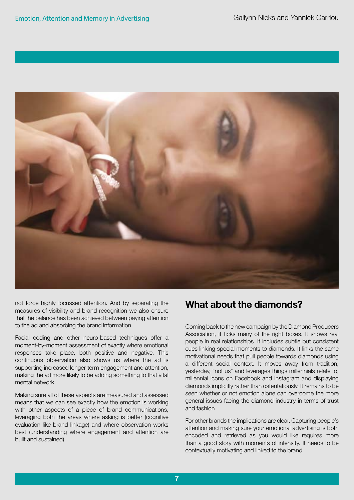

not force highly focussed attention. And by separating the measures of visibility and brand recognition we also ensure that the balance has been achieved between paying attention to the ad and absorbing the brand information.

Facial coding and other neuro-based techniques offer a moment-by-moment assessment of exactly where emotional responses take place, both positive and negative. This continuous observation also shows us where the ad is supporting increased longer-term engagement and attention, making the ad more likely to be adding something to that vital mental network.

Making sure all of these aspects are measured and assessed means that we can see exactly how the emotion is working with other aspects of a piece of brand communications, leveraging both the areas where asking is better (cognitive evaluation like brand linkage) and where observation works best (understanding where engagement and attention are built and sustained).

# What about the diamonds?

Coming back to the new campaign by the Diamond Producers Association, it ticks many of the right boxes. It shows real people in real relationships. It includes subtle but consistent cues linking special moments to diamonds. It links the same motivational needs that pull people towards diamonds using a different social context. It moves away from tradition, yesterday, "not us" and leverages things millennials relate to, millennial icons on Facebook and Instagram and displaying diamonds implicitly rather than ostentatiously. It remains to be seen whether or not emotion alone can overcome the more general issues facing the diamond industry in terms of trust and fashion.

For other brands the implications are clear. Capturing people's attention and making sure your emotional advertising is both encoded and retrieved as you would like requires more than a good story with moments of intensity. It needs to be contextually motivating and linked to the brand.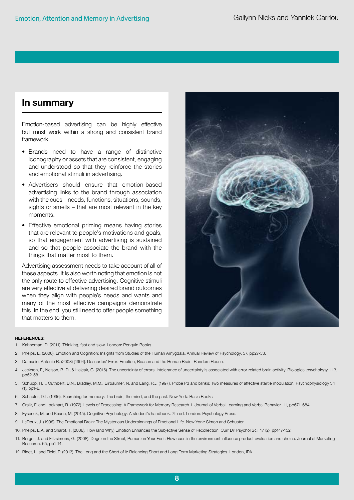### In summary

Emotion-based advertising can be highly effective but must work within a strong and consistent brand framework.

- Brands need to have a range of distinctive iconography or assets that are consistent, engaging and understood so that they reinforce the stories and emotional stimuli in advertising.
- Advertisers should ensure that emotion-based advertising links to the brand through association with the cues – needs, functions, situations, sounds, sights or smells – that are most relevant in the key moments.
- Effective emotional priming means having stories that are relevant to people's motivations and goals, so that engagement with advertising is sustained and so that people associate the brand with the things that matter most to them.

Advertising assessment needs to take account of all of these aspects. It is also worth noting that emotion is not the only route to effective advertising. Cognitive stimuli are very effective at delivering desired brand outcomes when they align with people's needs and wants and many of the most effective campaigns demonstrate this. In the end, you still need to offer people something that matters to them.



#### REFERENCES:

- 1. Kahneman, D. (2011). Thinking, fast and slow. London: Penguin Books.
- 2. Phelps, E. (2006). Emotion and Cognition: Insights from Studies of the Human Amygdala. Annual Review of Psychology, 57, pp27-53.
- 3. Damasio, Antonio R. (2008) [1994]. Descartes' Error: Emotion, Reason and the Human Brain. Random House.
- 4. Jackson, F., Nelson, B. D., & Hajcak, G. (2016). The uncertainty of errors: intolerance of uncertainty is associated with error-related brain activity. Biological psychology, 113, pp52-58
- 5. Schupp, H.T., Cuthbert, B.N., Bradley, M.M., Birbaumer, N. and Lang, P.J. (1997). Probe P3 and blinks: Two measures of affective startle modulation. Psychophysiology 34 (1), pp1-6.
- 6. Schacter, D.L. (1996). Searching for memory: The brain, the mind, and the past. New York: Basic Books
- 7. Craik, F. and Lockhart, R. (1972). Levels of Processing: A Framework for Memory Research 1. Journal of Verbal Learning and Verbal Behavior. 11, pp671-684.
- 8. Eysenck, M. and Keane, M. (2015). Cognitive Psychology: A student's handbook. 7th ed. London: Psychology Press.
- 9. LeDoux, J. (1998). The Emotional Brain: The Mysterious Underpinnings of Emotional Life. New York: Simon and Schuster.
- 10. Phelps, E.A. and Sharot, T. (2008). How (and Why) Emotion Enhances the Subjective Sense of Recollection. Curr Dir Psychol Sci. 17 (2), pp147-152.
- 11. Berger, J. and Fitzsimons, G. (2008). Dogs on the Street, Pumas on Your Feet: How cues in the environment influence product evaluation and choice. Journal of Marketing Research. 65, pp1-14.
- 12. Binet, L. and Field, P. (2013). The Long and the Short of it: Balancing Short and Long-Term Marketing Strategies. London, IPA.